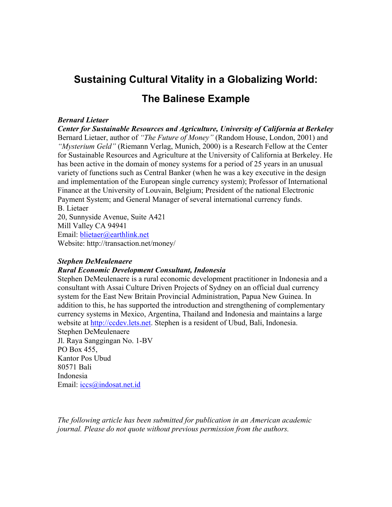# **Sustaining Cultural Vitality in a Globalizing World: The Balinese Example**

#### *Bernard Lietaer*

*Center for Sustainable Resources and Agriculture, University of California at Berkeley*  Bernard Lietaer, author of *"The Future of Money"* (Random House, London, 2001) and *"Mysterium Geld"* (Riemann Verlag, Munich, 2000) is a Research Fellow at the Center for Sustainable Resources and Agriculture at the University of California at Berkeley. He has been active in the domain of money systems for a period of 25 years in an unusual variety of functions such as Central Banker (when he was a key executive in the design and implementation of the European single currency system); Professor of International Finance at the University of Louvain, Belgium; President of the national Electronic Payment System; and General Manager of several international currency funds. B. Lietaer

20, Sunnyside Avenue, Suite A421 Mill Valley CA 94941 Email: [blietaer@earthlink.net](mailto:blietaer@earthlink.net) Website: http://transaction.net/money/

#### *Stephen DeMeulenaere*

#### *Rural Economic Development Consultant, Indonesia*

Stephen DeMeulenaere is a rural economic development practitioner in Indonesia and a consultant with Assai Culture Driven Projects of Sydney on an official dual currency system for the East New Britain Provincial Administration, Papua New Guinea. In addition to this, he has supported the introduction and strengthening of complementary currency systems in Mexico, Argentina, Thailand and Indonesia and maintains a large website at [http://ccdev.lets.net.](http://ccdev.lets.net/) Stephen is a resident of Ubud, Bali, Indonesia. Stephen DeMeulenaere

Jl. Raya Sanggingan No. 1-BV PO Box 455, Kantor Pos Ubud 80571 Bali Indonesia Email: [iccs@indosat.net.id](mailto:iccs@indosat.net.id)

*The following article has been submitted for publication in an American academic journal. Please do not quote without previous permission from the authors.*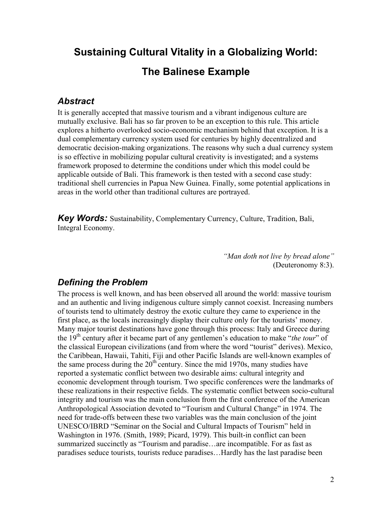# **Sustaining Cultural Vitality in a Globalizing World:**

# **The Balinese Example**

# *Abstract*

It is generally accepted that massive tourism and a vibrant indigenous culture are mutually exclusive. Bali has so far proven to be an exception to this rule. This article explores a hitherto overlooked socio-economic mechanism behind that exception. It is a dual complementary currency system used for centuries by highly decentralized and democratic decision-making organizations. The reasons why such a dual currency system is so effective in mobilizing popular cultural creativity is investigated; and a systems framework proposed to determine the conditions under which this model could be applicable outside of Bali. This framework is then tested with a second case study: traditional shell currencies in Papua New Guinea. Finally, some potential applications in areas in the world other than traditional cultures are portrayed.

*Key Words:* Sustainability, Complementary Currency, Culture, Tradition, Bali, Integral Economy.

> *"Man doth not live by bread alone"* (Deuteronomy 8:3).

# *Defining the Problem*

The process is well known, and has been observed all around the world: massive tourism and an authentic and living indigenous culture simply cannot coexist. Increasing numbers of tourists tend to ultimately destroy the exotic culture they came to experience in the first place, as the locals increasingly display their culture only for the tourists' money. Many major tourist destinations have gone through this process: Italy and Greece during the 19<sup>th</sup> century after it became part of any gentlemen's education to make "*the tour*" of the classical European civilizations (and from where the word "tourist" derives). Mexico, the Caribbean, Hawaii, Tahiti, Fiji and other Pacific Islands are well-known examples of the same process during the  $20<sup>th</sup>$  century. Since the mid 1970s, many studies have reported a systematic conflict between two desirable aims: cultural integrity and economic development through tourism. Two specific conferences were the landmarks of these realizations in their respective fields. The systematic conflict between socio-cultural integrity and tourism was the main conclusion from the first conference of the American Anthropological Association devoted to "Tourism and Cultural Change" in 1974. The need for trade-offs between these two variables was the main conclusion of the joint UNESCO/IBRD "Seminar on the Social and Cultural Impacts of Tourism" held in Washington in 1976. (Smith, 1989; Picard, 1979). This built-in conflict can been summarized succinctly as "Tourism and paradise…are incompatible. For as fast as paradises seduce tourists, tourists reduce paradises…Hardly has the last paradise been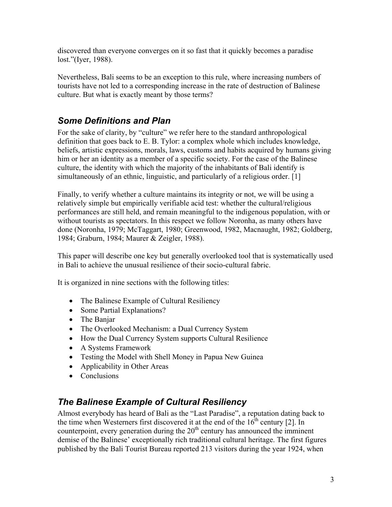discovered than everyone converges on it so fast that it quickly becomes a paradise lost."(Iyer, 1988).

Nevertheless, Bali seems to be an exception to this rule, where increasing numbers of tourists have not led to a corresponding increase in the rate of destruction of Balinese culture. But what is exactly meant by those terms?

# *Some Definitions and Plan*

For the sake of clarity, by "culture" we refer here to the standard anthropological definition that goes back to E. B. Tylor: a complex whole which includes knowledge, beliefs, artistic expressions, morals, laws, customs and habits acquired by humans giving him or her an identity as a member of a specific society. For the case of the Balinese culture, the identity with which the majority of the inhabitants of Bali identify is simultaneously of an ethnic, linguistic, and particularly of a religious order. [1]

Finally, to verify whether a culture maintains its integrity or not, we will be using a relatively simple but empirically verifiable acid test: whether the cultural/religious performances are still held, and remain meaningful to the indigenous population, with or without tourists as spectators. In this respect we follow Noronha, as many others have done (Noronha, 1979; McTaggart, 1980; Greenwood, 1982, Macnaught, 1982; Goldberg, 1984; Graburn, 1984; Maurer & Zeigler, 1988).

This paper will describe one key but generally overlooked tool that is systematically used in Bali to achieve the unusual resilience of their socio-cultural fabric.

It is organized in nine sections with the following titles:

- The Balinese Example of Cultural Resiliency
- Some Partial Explanations?
- The Banjar
- The Overlooked Mechanism: a Dual Currency System
- How the Dual Currency System supports Cultural Resilience
- A Systems Framework
- Testing the Model with Shell Money in Papua New Guinea
- Applicability in Other Areas
- Conclusions

# *The Balinese Example of Cultural Resiliency*

Almost everybody has heard of Bali as the "Last Paradise", a reputation dating back to the time when Westerners first discovered it at the end of the  $16<sup>th</sup>$  century [2]. In counterpoint, every generation during the  $20<sup>th</sup>$  century has announced the imminent demise of the Balinese' exceptionally rich traditional cultural heritage. The first figures published by the Bali Tourist Bureau reported 213 visitors during the year 1924, when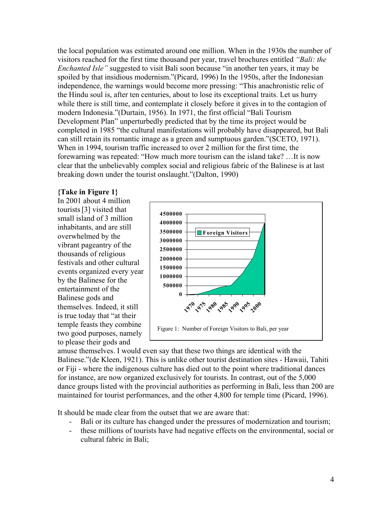the local population was estimated around one million. When in the 1930s the number of visitors reached for the first time thousand per year, travel brochures entitled *"Bali: the Enchanted Isle"* suggested to visit Bali soon because "in another ten years, it may be spoiled by that insidious modernism."(Picard, 1996) In the 1950s, after the Indonesian independence, the warnings would become more pressing: "This anachronistic relic of the Hindu soul is, after ten centuries, about to lose its exceptional traits. Let us hurry while there is still time, and contemplate it closely before it gives in to the contagion of modern Indonesia."(Durtain, 1956). In 1971, the first official "Bali Tourism Development Plan" unperturbedly predicted that by the time its project would be completed in 1985 "the cultural manifestations will probably have disappeared, but Bali can still retain its romantic image as a green and sumptuous garden."(SCETO, 1971). When in 1994, tourism traffic increased to over 2 million for the first time, the forewarning was repeated: "How much more tourism can the island take? …It is now clear that the unbelievably complex social and religious fabric of the Balinese is at last breaking down under the tourist onslaught."(Dalton, 1990)

#### **{Take in Figure 1}**

In 2001 about 4 million tourists[3] visited that small island of 3 million inhabitants, and are still overwhelmed by the vibrant pageantry of the thousands of religious festivals and other cul tural events organized every year by the Balinese f or the entertainment of the Balinese gods and themselves. Indeed, it still is true today that "at their temple feasts they combine two good purposes, namely to please their gods and



amuse themselves. I would even say that these two things are identical with the Balinese."(de Kleen, 1921). This is unlike other tourist destination sites - Hawaii, Tahiti or Fiji - where the indigenous culture has died out to the point where traditional dances for instance, are now organized exclusively for tourists. In contrast, out of the 5,000 dance groups listed with the provincial authorities as performing in Bali, less than 200 are maintained for tourist performances, and the other 4,800 for temple time (Picard, 1996).

It should be made clear from the outset that we are aware that:

- Bali or its culture has changed under the pressures of modernization and tourism;
- these millions of tourists have had negative effects on the environmental, social or cultural fabric in Bali;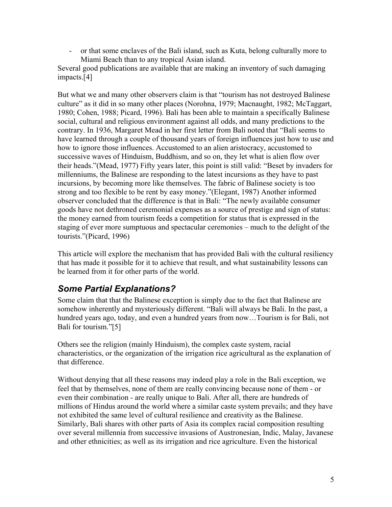- or that some enclaves of the Bali island, such as Kuta, belong culturally more to Miami Beach than to any tropical Asian island.

Several good publications are available that are making an inventory of such damaging impacts.[4]

But what we and many other observers claim is that "tourism has not destroyed Balinese culture" as it did in so many other places (Norohna, 1979; Macnaught, 1982; McTaggart, 1980; Cohen, 1988; Picard, 1996). Bali has been able to maintain a specifically Balinese social, cultural and religious environment against all odds, and many predictions to the contrary. In 1936, Margaret Mead in her first letter from Bali noted that "Bali seems to have learned through a couple of thousand years of foreign influences just how to use and how to ignore those influences. Accustomed to an alien aristocracy, accustomed to successive waves of Hinduism, Buddhism, and so on, they let what is alien flow over their heads."(Mead, 1977) Fifty years later, this point is still valid: "Beset by invaders for millenniums, the Balinese are responding to the latest incursions as they have to past incursions, by becoming more like themselves. The fabric of Balinese society is too strong and too flexible to be rent by easy money."(Elegant, 1987) Another informed observer concluded that the difference is that in Bali: "The newly available consumer goods have not dethroned ceremonial expenses as a source of prestige and sign of status: the money earned from tourism feeds a competition for status that is expressed in the staging of ever more sumptuous and spectacular ceremonies – much to the delight of the tourists."(Picard, 1996)

This article will explore the mechanism that has provided Bali with the cultural resiliency that has made it possible for it to achieve that result, and what sustainability lessons can be learned from it for other parts of the world.

# *Some Partial Explanations?*

Some claim that that the Balinese exception is simply due to the fact that Balinese are somehow inherently and mysteriously different. "Bali will always be Bali. In the past, a hundred years ago, today, and even a hundred years from now...Tourism is for Bali, not Bali for tourism."[5]

Others see the religion (mainly Hinduism), the complex caste system, racial characteristics, or the organization of the irrigation rice agricultural as the explanation of that difference.

Without denying that all these reasons may indeed play a role in the Bali exception, we feel that by themselves, none of them are really convincing because none of them - or even their combination - are really unique to Bali. After all, there are hundreds of millions of Hindus around the world where a similar caste system prevails; and they have not exhibited the same level of cultural resilience and creativity as the Balinese. Similarly, Bali shares with other parts of Asia its complex racial composition resulting over several millennia from successive invasions of Austronesian, Indic, Malay, Javanese and other ethnicities; as well as its irrigation and rice agriculture. Even the historical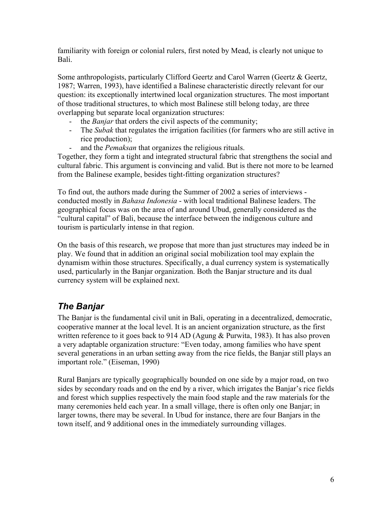familiarity with foreign or colonial rulers, first noted by Mead, is clearly not unique to Bali.

Some anthropologists, particularly Clifford Geertz and Carol Warren (Geertz & Geertz, 1987; Warren, 1993), have identified a Balinese characteristic directly relevant for our question: its exceptionally intertwined local organization structures. The most important of those traditional structures, to which most Balinese still belong today, are three overlapping but separate local organization structures:

- the *Banjar* that orders the civil aspects of the community;
- The *Subak* that regulates the irrigation facilities (for farmers who are still active in rice production);
- and the *Pemaksan* that organizes the religious rituals.

Together, they form a tight and integrated structural fabric that strengthens the social and cultural fabric. This argument is convincing and valid. But is there not more to be learned from the Balinese example, besides tight-fitting organization structures?

To find out, the authors made during the Summer of 2002 a series of interviews conducted mostly in *Bahasa Indonesia* - with local traditional Balinese leaders. The geographical focus was on the area of and around Ubud, generally considered as the "cultural capital" of Bali, because the interface between the indigenous culture and tourism is particularly intense in that region.

On the basis of this research, we propose that more than just structures may indeed be in play. We found that in addition an original social mobilization tool may explain the dynamism within those structures. Specifically, a dual currency system is systematically used, particularly in the Banjar organization. Both the Banjar structure and its dual currency system will be explained next.

# *The Banjar*

The Banjar is the fundamental civil unit in Bali, operating in a decentralized, democratic, cooperative manner at the local level. It is an ancient organization structure, as the first written reference to it goes back to 914 AD (Agung & Purwita, 1983). It has also proven a very adaptable organization structure: "Even today, among families who have spent several generations in an urban setting away from the rice fields, the Banjar still plays an important role." (Eiseman, 1990)

Rural Banjars are typically geographically bounded on one side by a major road, on two sides by secondary roads and on the end by a river, which irrigates the Banjar's rice fields and forest which supplies respectively the main food staple and the raw materials for the many ceremonies held each year. In a small village, there is often only one Banjar; in larger towns, there may be several. In Ubud for instance, there are four Banjars in the town itself, and 9 additional ones in the immediately surrounding villages.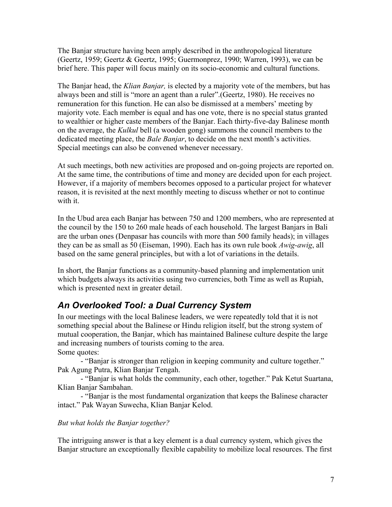The Banjar structure having been amply described in the anthropological literature (Geertz, 1959; Geertz & Geertz, 1995; Guermonprez, 1990; Warren, 1993), we can be brief here. This paper will focus mainly on its socio-economic and cultural functions.

The Banjar head, the *Klian Banjar,* is elected by a majority vote of the members, but has always been and still is "more an agent than a ruler".(Geertz, 1980). He receives no remuneration for this function. He can also be dismissed at a members' meeting by majority vote. Each member is equal and has one vote, there is no special status granted to wealthier or higher caste members of the Banjar. Each thirty-five-day Balinese month on the average, the *Kulkul* bell (a wooden gong) summons the council members to the dedicated meeting place, the *Bale Banjar*, to decide on the next month's activities. Special meetings can also be convened whenever necessary.

At such meetings, both new activities are proposed and on-going projects are reported on. At the same time, the contributions of time and money are decided upon for each project. However, if a majority of members becomes opposed to a particular project for whatever reason, it is revisited at the next monthly meeting to discuss whether or not to continue with it.

In the Ubud area each Banjar has between 750 and 1200 members, who are represented at the council by the 150 to 260 male heads of each household. The largest Banjars in Bali are the urban ones (Denpasar has councils with more than 500 family heads); in villages they can be as small as 50 (Eiseman, 1990). Each has its own rule book *Awig-awig*, all based on the same general principles, but with a lot of variations in the details.

In short, the Banjar functions as a community-based planning and implementation unit which budgets always its activities using two currencies, both Time as well as Rupiah, which is presented next in greater detail.

# *An Overlooked Tool: a Dual Currency System*

In our meetings with the local Balinese leaders, we were repeatedly told that it is not something special about the Balinese or Hindu religion itself, but the strong system of mutual cooperation, the Banjar, which has maintained Balinese culture despite the large and increasing numbers of tourists coming to the area. Some quotes:

- "Banjar is stronger than religion in keeping community and culture together." Pak Agung Putra, Klian Banjar Tengah.

- "Banjar is what holds the community, each other, together." Pak Ketut Suartana, Klian Banjar Sambahan.

- "Banjar is the most fundamental organization that keeps the Balinese character intact." Pak Wayan Suwecha, Klian Banjar Kelod.

#### *But what holds the Banjar together?*

The intriguing answer is that a key element is a dual currency system, which gives the Banjar structure an exceptionally flexible capability to mobilize local resources. The first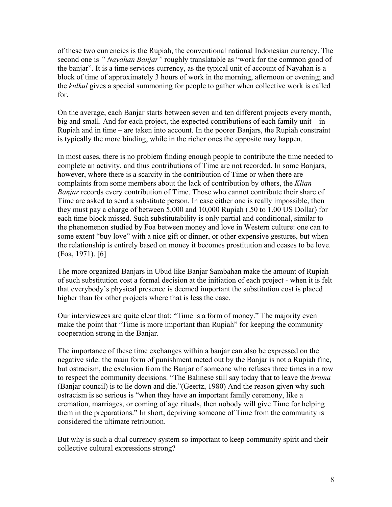of these two currencies is the Rupiah, the conventional national Indonesian currency. The second one is *" Nayahan Banjar"* roughly translatable as "work for the common good of the banjar". It is a time services currency, as the typical unit of account of Nayahan is a block of time of approximately 3 hours of work in the morning, afternoon or evening; and the *kulkul* gives a special summoning for people to gather when collective work is called for.

On the average, each Banjar starts between seven and ten different projects every month, big and small. And for each project, the expected contributions of each family unit – in Rupiah and in time – are taken into account. In the poorer Banjars, the Rupiah constraint is typically the more binding, while in the richer ones the opposite may happen.

In most cases, there is no problem finding enough people to contribute the time needed to complete an activity, and thus contributions of Time are not recorded. In some Banjars, however, where there is a scarcity in the contribution of Time or when there are complaints from some members about the lack of contribution by others, the *Klian Banjar* records every contribution of Time. Those who cannot contribute their share of Time are asked to send a substitute person. In case either one is really impossible, then they must pay a charge of between 5,000 and 10,000 Rupiah (.50 to 1.00 US Dollar) for each time block missed. Such substitutability is only partial and conditional, similar to the phenomenon studied by Foa between money and love in Western culture: one can to some extent "buy love" with a nice gift or dinner, or other expensive gestures, but when the relationship is entirely based on money it becomes prostitution and ceases to be love. (Foa, 1971). [6]

The more organized Banjars in Ubud like Banjar Sambahan make the amount of Rupiah of such substitution cost a formal decision at the initiation of each project - when it is felt that everybody's physical presence is deemed important the substitution cost is placed higher than for other projects where that is less the case.

Our interviewees are quite clear that: "Time is a form of money." The majority even make the point that "Time is more important than Rupiah" for keeping the community cooperation strong in the Banjar.

The importance of these time exchanges within a banjar can also be expressed on the negative side: the main form of punishment meted out by the Banjar is not a Rupiah fine, but ostracism, the exclusion from the Banjar of someone who refuses three times in a row to respect the community decisions. "The Balinese still say today that to leave the *krama* (Banjar council) is to lie down and die."(Geertz, 1980) And the reason given why such ostracism is so serious is "when they have an important family ceremony, like a cremation, marriages, or coming of age rituals, then nobody will give Time for helping them in the preparations." In short, depriving someone of Time from the community is considered the ultimate retribution.

But why is such a dual currency system so important to keep community spirit and their collective cultural expressions strong?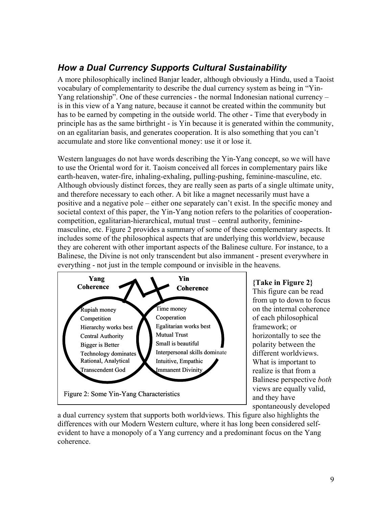# *How a Dual Currency Supports Cultural Sustainability*

A more philosophically inclined Banjar leader, although obviously a Hindu, used a Taoist vocabulary of complementarity to describe the dual currency system as being in "Yin-Yang relationship". One of these currencies - the normal Indonesian national currency – is in this view of a Yang nature, because it cannot be created within the community but has to be earned by competing in the outside world. The other - Time that everybody in principle has as the same birthright - is Yin because it is generated within the community, on an egalitarian basis, and generates cooperation. It is also something that you can't accumulate and store like conventional money: use it or lose it.

Western languages do not have words describing the Yin-Yang concept, so we will have to use the Oriental word for it. Taoism conceived all forces in complementary pairs like earth-heaven, water-fire, inhaling-exhaling, pulling-pushing, feminine-masculine, etc. Although obviously distinct forces, they are really seen as parts of a single ultimate unity, and therefore necessary to each other. A bit like a magnet necessarily must have a positive and a negative pole – either one separately can't exist. In the specific money and societal context of this paper, the Yin-Yang notion refers to the polarities of cooperationcompetition, egalitarian-hierarchical, mutual trust – central authority, femininemasculine, etc. Figure 2 provides a summary of some of these complementary aspects. It includes some of the philosophical aspects that are underlying this worldview, because they are coherent with other important aspects of the Balinese culture. For instance, to a Balinese, the Divine is not only transcendent but also immanent - present everywhere in everything - not just in the temple compound or invisible in the heavens.



#### **{Take in Figure 2}**  This figure can be read from up to down to focus on the internal coherence of each philosophical framework; or horizontally to see the polarity between the different worldviews. What is important to realize is that from a Balinese perspective *both*  views are equally valid, and they have spontaneously developed

a dual currency system that supports both worldviews. This figure also highlights the differences with our Modern Western culture, where it has long been considered selfevident to have a monopoly of a Yang currency and a predominant focus on the Yang coherence.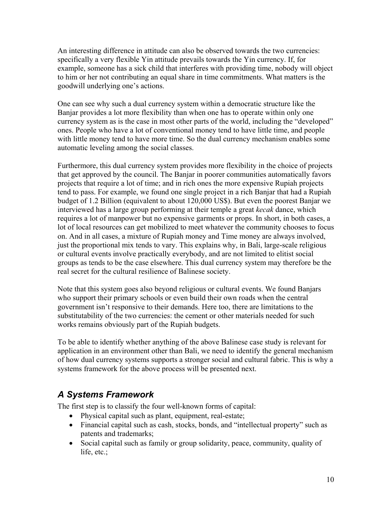An interesting difference in attitude can also be observed towards the two currencies: specifically a very flexible Yin attitude prevails towards the Yin currency. If, for example, someone has a sick child that interferes with providing time, nobody will object to him or her not contributing an equal share in time commitments. What matters is the goodwill underlying one's actions.

One can see why such a dual currency system within a democratic structure like the Banjar provides a lot more flexibility than when one has to operate within only one currency system as is the case in most other parts of the world, including the "developed" ones. People who have a lot of conventional money tend to have little time, and people with little money tend to have more time. So the dual currency mechanism enables some automatic leveling among the social classes.

Furthermore, this dual currency system provides more flexibility in the choice of projects that get approved by the council. The Banjar in poorer communities automatically favors projects that require a lot of time; and in rich ones the more expensive Rupiah projects tend to pass. For example, we found one single project in a rich Banjar that had a Rupiah budget of 1.2 Billion (equivalent to about 120,000 US\$). But even the poorest Banjar we interviewed has a large group performing at their temple a great *kecak* dance, which requires a lot of manpower but no expensive garments or props. In short, in both cases, a lot of local resources can get mobilized to meet whatever the community chooses to focus on. And in all cases, a mixture of Rupiah money and Time money are always involved, just the proportional mix tends to vary. This explains why, in Bali, large-scale religious or cultural events involve practically everybody, and are not limited to elitist social groups as tends to be the case elsewhere. This dual currency system may therefore be the real secret for the cultural resilience of Balinese society.

Note that this system goes also beyond religious or cultural events. We found Banjars who support their primary schools or even build their own roads when the central government isn't responsive to their demands. Here too, there are limitations to the substitutability of the two currencies: the cement or other materials needed for such works remains obviously part of the Rupiah budgets.

To be able to identify whether anything of the above Balinese case study is relevant for application in an environment other than Bali, we need to identify the general mechanism of how dual currency systems supports a stronger social and cultural fabric. This is why a systems framework for the above process will be presented next.

# *A Systems Framework*

The first step is to classify the four well-known forms of capital:

- Physical capital such as plant, equipment, real-estate;
- Financial capital such as cash, stocks, bonds, and "intellectual property" such as patents and trademarks;
- Social capital such as family or group solidarity, peace, community, quality of life, etc.;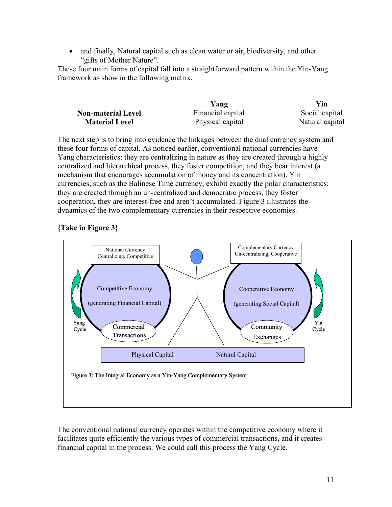and finally, Natural capital such as clean water or air, biodiversity, and other "gifts of Mother Nature".

These four main forms of capital fall into a straightforward pattern within the Yin-Yang framework as show in the following matrix.

|                           | Yang              | Yin             |
|---------------------------|-------------------|-----------------|
| <b>Non-material Level</b> | Financial capital | Social capital  |
| <b>Material Level</b>     | Physical capital  | Natural capital |

The next step is to bring into evidence the linkages between the dual currency system and these four forms of capital. As noticed earlier, conventional national currencies have Yang characteristics: they are centralizing in nature as they are created through a highly centralized and hierarchical process, they foster competition, and they bear interest (a mechanism that encourages accumulation of money and its concentration). Yin currencies, such as the Balinese Time currency, exhibit exactly the polar characteristics: they are created through an un-centralized and democratic process, they foster cooperation, they are interest-free and aren't accumulated. Figure 3 illustrates the dynamics of the two complementary currencies in their respective economies.

#### **{Take in Figure 3}**



The conventional national currency operates within the competitive economy where it facilitates quite efficiently the various types of commercial transactions, and it creates financial capital in the process. We could call this process the Yang Cycle.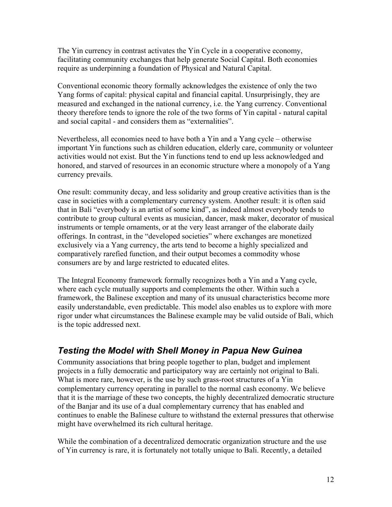The Yin currency in contrast activates the Yin Cycle in a cooperative economy, facilitating community exchanges that help generate Social Capital. Both economies require as underpinning a foundation of Physical and Natural Capital.

Conventional economic theory formally acknowledges the existence of only the two Yang forms of capital: physical capital and financial capital. Unsurprisingly, they are measured and exchanged in the national currency, i.e. the Yang currency. Conventional theory therefore tends to ignore the role of the two forms of Yin capital - natural capital and social capital - and considers them as "externalities".

Nevertheless, all economies need to have both a Yin and a Yang cycle – otherwise important Yin functions such as children education, elderly care, community or volunteer activities would not exist. But the Yin functions tend to end up less acknowledged and honored, and starved of resources in an economic structure where a monopoly of a Yang currency prevails.

One result: community decay, and less solidarity and group creative activities than is the case in societies with a complementary currency system. Another result: it is often said that in Bali "everybody is an artist of some kind", as indeed almost everybody tends to contribute to group cultural events as musician, dancer, mask maker, decorator of musical instruments or temple ornaments, or at the very least arranger of the elaborate daily offerings. In contrast, in the "developed societies" where exchanges are monetized exclusively via a Yang currency, the arts tend to become a highly specialized and comparatively rarefied function, and their output becomes a commodity whose consumers are by and large restricted to educated elites.

The Integral Economy framework formally recognizes both a Yin and a Yang cycle, where each cycle mutually supports and complements the other. Within such a framework, the Balinese exception and many of its unusual characteristics become more easily understandable, even predictable. This model also enables us to explore with more rigor under what circumstances the Balinese example may be valid outside of Bali, which is the topic addressed next.

# *Testing the Model with Shell Money in Papua New Guinea*

Community associations that bring people together to plan, budget and implement projects in a fully democratic and participatory way are certainly not original to Bali. What is more rare, however, is the use by such grass-root structures of a Yin complementary currency operating in parallel to the normal cash economy. We believe that it is the marriage of these two concepts, the highly decentralized democratic structure of the Banjar and its use of a dual complementary currency that has enabled and continues to enable the Balinese culture to withstand the external pressures that otherwise might have overwhelmed its rich cultural heritage.

While the combination of a decentralized democratic organization structure and the use of Yin currency is rare, it is fortunately not totally unique to Bali. Recently, a detailed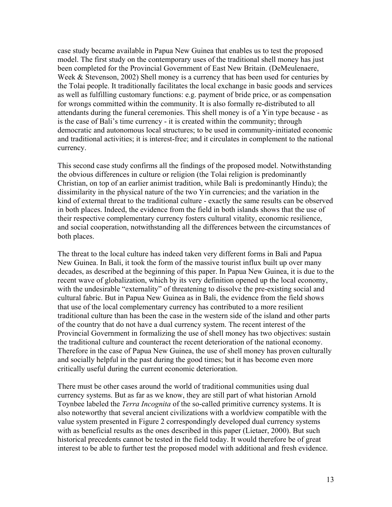case study became available in Papua New Guinea that enables us to test the proposed model. The first study on the contemporary uses of the traditional shell money has just been completed for the Provincial Government of East New Britain. (DeMeulenaere, Week & Stevenson, 2002) Shell money is a currency that has been used for centuries by the Tolai people. It traditionally facilitates the local exchange in basic goods and services as well as fulfilling customary functions: e.g. payment of bride price, or as compensation for wrongs committed within the community. It is also formally re-distributed to all attendants during the funeral ceremonies. This shell money is of a Yin type because - as is the case of Bali's time currency - it is created within the community; through democratic and autonomous local structures; to be used in community-initiated economic and traditional activities; it is interest-free; and it circulates in complement to the national currency.

This second case study confirms all the findings of the proposed model. Notwithstanding the obvious differences in culture or religion (the Tolai religion is predominantly Christian, on top of an earlier animist tradition, while Bali is predominantly Hindu); the dissimilarity in the physical nature of the two Yin currencies; and the variation in the kind of external threat to the traditional culture - exactly the same results can be observed in both places. Indeed, the evidence from the field in both islands shows that the use of their respective complementary currency fosters cultural vitality, economic resilience, and social cooperation, notwithstanding all the differences between the circumstances of both places.

The threat to the local culture has indeed taken very different forms in Bali and Papua New Guinea. In Bali, it took the form of the massive tourist influx built up over many decades, as described at the beginning of this paper. In Papua New Guinea, it is due to the recent wave of globalization, which by its very definition opened up the local economy, with the undesirable "externality" of threatening to dissolve the pre-existing social and cultural fabric. But in Papua New Guinea as in Bali, the evidence from the field shows that use of the local complementary currency has contributed to a more resilient traditional culture than has been the case in the western side of the island and other parts of the country that do not have a dual currency system. The recent interest of the Provincial Government in formalizing the use of shell money has two objectives: sustain the traditional culture and counteract the recent deterioration of the national economy. Therefore in the case of Papua New Guinea, the use of shell money has proven culturally and socially helpful in the past during the good times; but it has become even more critically useful during the current economic deterioration.

There must be other cases around the world of traditional communities using dual currency systems. But as far as we know, they are still part of what historian Arnold Toynbee labeled the *Terra Incognita* of the so-called primitive currency systems. It is also noteworthy that several ancient civilizations with a worldview compatible with the value system presented in Figure 2 correspondingly developed dual currency systems with as beneficial results as the ones described in this paper (Lietaer, 2000). But such historical precedents cannot be tested in the field today. It would therefore be of great interest to be able to further test the proposed model with additional and fresh evidence.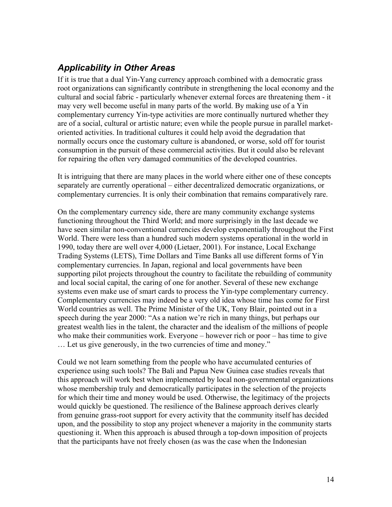# *Applicability in Other Areas*

If it is true that a dual Yin-Yang currency approach combined with a democratic grass root organizations can significantly contribute in strengthening the local economy and the cultural and social fabric - particularly whenever external forces are threatening them - it may very well become useful in many parts of the world. By making use of a Yin complementary currency Yin-type activities are more continually nurtured whether they are of a social, cultural or artistic nature; even while the people pursue in parallel marketoriented activities. In traditional cultures it could help avoid the degradation that normally occurs once the customary culture is abandoned, or worse, sold off for tourist consumption in the pursuit of these commercial activities. But it could also be relevant for repairing the often very damaged communities of the developed countries.

It is intriguing that there are many places in the world where either one of these concepts separately are currently operational – either decentralized democratic organizations, or complementary currencies. It is only their combination that remains comparatively rare.

On the complementary currency side, there are many community exchange systems functioning throughout the Third World; and more surprisingly in the last decade we have seen similar non-conventional currencies develop exponentially throughout the First World. There were less than a hundred such modern systems operational in the world in 1990, today there are well over 4,000 (Lietaer, 2001). For instance, Local Exchange Trading Systems (LETS), Time Dollars and Time Banks all use different forms of Yin complementary currencies. In Japan, regional and local governments have been supporting pilot projects throughout the country to facilitate the rebuilding of community and local social capital, the caring of one for another. Several of these new exchange systems even make use of smart cards to process the Yin-type complementary currency. Complementary currencies may indeed be a very old idea whose time has come for First World countries as well. The Prime Minister of the UK, Tony Blair, pointed out in a speech during the year 2000: "As a nation we're rich in many things, but perhaps our greatest wealth lies in the talent, the character and the idealism of the millions of people who make their communities work. Everyone – however rich or poor – has time to give … Let us give generously, in the two currencies of time and money."

Could we not learn something from the people who have accumulated centuries of experience using such tools? The Bali and Papua New Guinea case studies reveals that this approach will work best when implemented by local non-governmental organizations whose membership truly and democratically participates in the selection of the projects for which their time and money would be used. Otherwise, the legitimacy of the projects would quickly be questioned. The resilience of the Balinese approach derives clearly from genuine grass-root support for every activity that the community itself has decided upon, and the possibility to stop any project whenever a majority in the community starts questioning it. When this approach is abused through a top-down imposition of projects that the participants have not freely chosen (as was the case when the Indonesian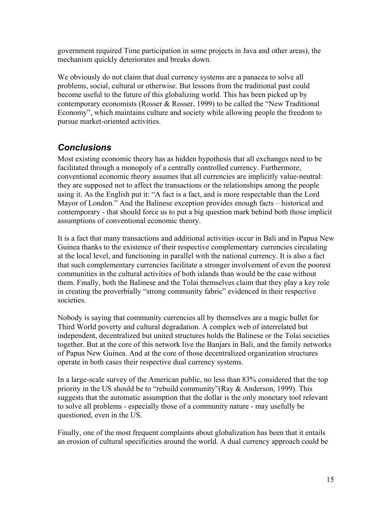government required Time participation in some projects in Java and other areas), the mechanism quickly deteriorates and breaks down.

We obviously do not claim that dual currency systems are a panacea to solve all problems, social, cultural or otherwise. But lessons from the traditional past could become useful to the future of this globalizing world. This has been picked up by contemporary economists (Rosser & Rosser, 1999) to be called the "New Traditional Economy", which maintains culture and society while allowing people the freedom to pursue market-oriented activities.

# *Conclusions*

Most existing economic theory has as hidden hypothesis that all exchanges need to be facilitated through a monopoly of a centrally controlled currency. Furthermore, conventional economic theory assumes that all currencies are implicitly value-neutral: they are supposed not to affect the transactions or the relationships among the people using it. As the English put it: "A fact is a fact, and is more respectable than the Lord Mayor of London." And the Balinese exception provides enough facts – historical and contemporary - that should force us to put a big question mark behind both those implicit assumptions of conventional economic theory.

It is a fact that many transactions and additional activities occur in Bali and in Papua New Guinea thanks to the existence of their respective complementary currencies circulating at the local level, and functioning in parallel with the national currency. It is also a fact that such complementary currencies facilitate a stronger involvement of even the poorest communities in the cultural activities of both islands than would be the case without them. Finally, both the Balinese and the Tolai themselves claim that they play a key role in creating the proverbially "strong community fabric" evidenced in their respective societies.

Nobody is saying that community currencies all by themselves are a magic bullet for Third World poverty and cultural degradation. A complex web of interrelated but independent, decentralized but united structures holds the Balinese or the Tolai societies together. But at the core of this network live the Banjars in Bali, and the family networks of Papua New Guinea. And at the core of those decentralized organization structures operate in both cases their respective dual currency systems.

In a large-scale survey of the American public, no less than 83% considered that the top priority in the US should be to "rebuild community"(Ray & Anderson, 1999). This suggests that the automatic assumption that the dollar is the only monetary tool relevant to solve all problems - especially those of a community nature - may usefully be questioned, even in the US.

Finally, one of the most frequent complaints about globalization has been that it entails an erosion of cultural specificities around the world. A dual currency approach could be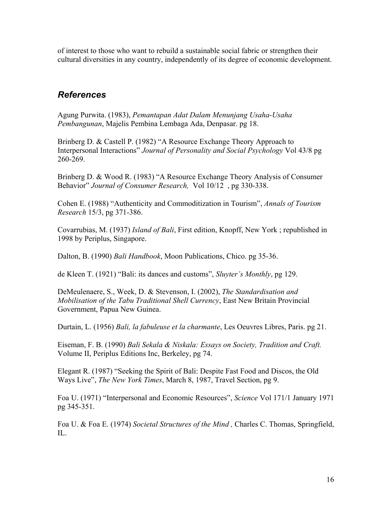of interest to those who want to rebuild a sustainable social fabric or strengthen their cultural diversities in any country, independently of its degree of economic development.

### *References*

Agung Purwita. (1983), *Pemantapan Adat Dalam Menunjang Usaha-Usaha Pembangunan*, Majelis Pembina Lembaga Ada, Denpasar. pg 18.

Brinberg D. & Castell P. (1982) "A Resource Exchange Theory Approach to Interpersonal Interactions" *Journal of Personality and Social Psychology* Vol 43/8 pg 260-269.

Brinberg D. & Wood R. (1983) "A Resource Exchange Theory Analysis of Consumer Behavior" *Journal of Consumer Research,* Vol 10/12 , pg 330-338.

Cohen E. (1988) "Authenticity and Commoditization in Tourism", *Annals of Tourism Research* 15/3, pg 371-386.

Covarrubias, M. (1937) *Island of Bali*, First edition, Knopff, New York ; republished in 1998 by Periplus, Singapore.

Dalton, B. (1990) *Bali Handbook*, Moon Publications, Chico. pg 35-36.

de Kleen T. (1921) "Bali: its dances and customs", *Sluyter's Monthly*, pg 129.

DeMeulenaere, S., Week, D. & Stevenson, I. (2002), *The Standardisation and Mobilisation of the Tabu Traditional Shell Currency*, East New Britain Provincial Government, Papua New Guinea.

Durtain, L. (1956) *Bali, la fabuleuse et la charmante*, Les Oeuvres Libres, Paris. pg 21.

Eiseman, F. B. (1990) *Bali Sekala & Niskala: Essays on Society, Tradition and Craft.*  Volume II, Periplus Editions Inc, Berkeley, pg 74.

Elegant R. (1987) "Seeking the Spirit of Bali: Despite Fast Food and Discos, the Old Ways Live", *The New York Times*, March 8, 1987, Travel Section, pg 9.

Foa U. (1971) "Interpersonal and Economic Resources", *Science* Vol 171/1 January 1971 pg 345-351.

Foa U. & Foa E. (1974) *Societal Structures of the Mind ,* Charles C. Thomas, Springfield, IL.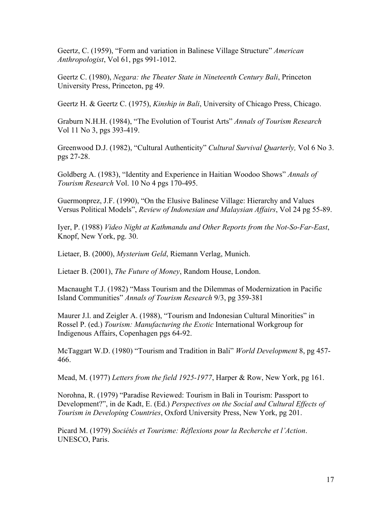Geertz, C. (1959), "Form and variation in Balinese Village Structure" *American Anthropologist*, Vol 61, pgs 991-1012.

Geertz C. (1980), *Negara: the Theater State in Nineteenth Century Bali*, Princeton University Press, Princeton, pg 49.

Geertz H. & Geertz C. (1975), *Kinship in Bali*, University of Chicago Press, Chicago.

Graburn N.H.H. (1984), "The Evolution of Tourist Arts" *Annals of Tourism Research*  Vol 11 No 3, pgs 393-419.

Greenwood D.J. (1982), "Cultural Authenticity" *Cultural Survival Quarterly,* Vol 6 No 3. pgs 27-28.

Goldberg A. (1983), "Identity and Experience in Haitian Woodoo Shows" *Annals of Tourism Research* Vol. 10 No 4 pgs 170-495.

Guermonprez, J.F. (1990), "On the Elusive Balinese Village: Hierarchy and Values Versus Political Models", *Review of Indonesian and Malaysian Affairs*, Vol 24 pg 55-89.

Iyer, P. (1988) *Video Night at Kathmandu and Other Reports from the Not-So-Far-East*, Knopf, New York, pg. 30.

Lietaer, B. (2000), *Mysterium Geld*, Riemann Verlag, Munich.

Lietaer B. (2001), *The Future of Money*, Random House, London.

Macnaught T.J. (1982) "Mass Tourism and the Dilemmas of Modernization in Pacific Island Communities" *Annals of Tourism Research* 9/3, pg 359-381

Maurer J.l. and Zeigler A. (1988), "Tourism and Indonesian Cultural Minorities" in Rossel P. (ed.) *Tourism: Manufacturing the Exotic* International Workgroup for Indigenous Affairs, Copenhagen pgs 64-92.

McTaggart W.D. (1980) "Tourism and Tradition in Bali" *World Development* 8, pg 457- 466.

Mead, M. (1977) *Letters from the field 1925-1977*, Harper & Row, New York, pg 161.

Norohna, R. (1979) "Paradise Reviewed: Tourism in Bali in Tourism: Passport to Development?", in de Kadt, E. (Ed.) *Perspectives on the Social and Cultural Effects of Tourism in Developing Countries*, Oxford University Press, New York, pg 201.

Picard M. (1979) *Sociétés et Tourisme: Réflexions pour la Recherche et l'Action*. UNESCO, Paris.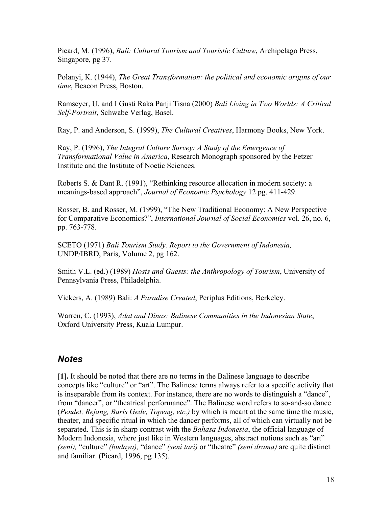Picard, M. (1996), *Bali: Cultural Tourism and Touristic Culture*, Archipelago Press, Singapore, pg 37.

Polanyi, K. (1944), *The Great Transformation: the political and economic origins of our time*, Beacon Press, Boston.

Ramseyer, U. and I Gusti Raka Panji Tisna (2000) *Bali Living in Two Worlds: A Critical Self-Portrait*, Schwabe Verlag, Basel.

Ray, P. and Anderson, S. (1999), *The Cultural Creatives*, Harmony Books, New York.

Ray, P. (1996), *The Integral Culture Survey: A Study of the Emergence of Transformational Value in America*, Research Monograph sponsored by the Fetzer Institute and the Institute of Noetic Sciences.

Roberts S. & Dant R. (1991), "Rethinking resource allocation in modern society: a meanings-based approach", *Journal of Economic Psychology* 12 pg. 411-429.

Rosser, B. and Rosser, M. (1999), "The New Traditional Economy: A New Perspective for Comparative Economics?", *International Journal of Social Economics* vol. 26, no. 6, pp. 763-778.

SCETO (1971) *Bali Tourism Study. Report to the Government of Indonesia,* UNDP/IBRD, Paris, Volume 2, pg 162.

Smith V.L. (ed.) (1989) *Hosts and Guests: the Anthropology of Tourism*, University of Pennsylvania Press, Philadelphia.

Vickers, A. (1989) Bali: *A Paradise Created*, Periplus Editions, Berkeley.

Warren, C. (1993), *Adat and Dinas: Balinese Communities in the Indonesian State*, Oxford University Press, Kuala Lumpur.

# *Notes*

**[1].** It should be noted that there are no terms in the Balinese language to describe concepts like "culture" or "art". The Balinese terms always refer to a specific activity that is inseparable from its context. For instance, there are no words to distinguish a "dance", from "dancer", or "theatrical performance". The Balinese word refers to so-and-so dance (*Pendet, Rejang, Baris Gede, Topeng, etc.)* by which is meant at the same time the music, theater, and specific ritual in which the dancer performs, all of which can virtually not be separated. This is in sharp contrast with the *Bahasa Indonesia*, the official language of Modern Indonesia, where just like in Western languages, abstract notions such as "art" *(seni),* "culture" *(budaya),* "dance" *(seni tari)* or "theatre" *(seni drama)* are quite distinct and familiar. (Picard, 1996, pg 135).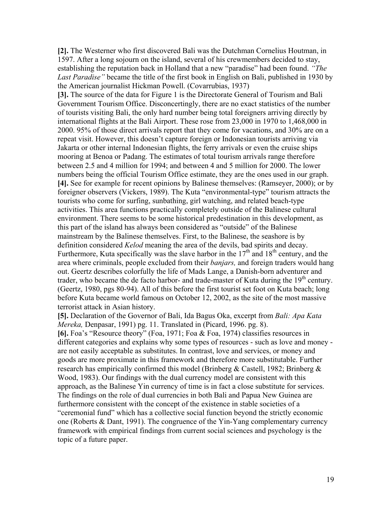**[2].** The Westerner who first discovered Bali was the Dutchman Cornelius Houtman, in 1597. After a long sojourn on the island, several of his crewmembers decided to stay, establishing the reputation back in Holland that a new "paradise" had been found. *"The Last Paradise"* became the title of the first book in English on Bali, published in 1930 by the American journalist Hickman Powell. (Covarrubias, 1937)

**[3].** The source of the data for Figure 1 is the Directorate General of Tourism and Bali Government Tourism Office. Disconcertingly, there are no exact statistics of the number of tourists visiting Bali, the only hard number being total foreigners arriving directly by international flights at the Bali Airport. These rose from 23,000 in 1970 to 1,468,000 in 2000. 95% of those direct arrivals report that they come for vacations, and 30% are on a repeat visit. However, this doesn't capture foreign or Indonesian tourists arriving via Jakarta or other internal Indonesian flights, the ferry arrivals or even the cruise ships mooring at Benoa or Padang. The estimates of total tourism arrivals range therefore between 2.5 and 4 million for 1994; and between 4 and 5 million for 2000. The lower numbers being the official Tourism Office estimate, they are the ones used in our graph. **[4].** See for example for recent opinions by Balinese themselves: (Ramseyer, 2000); or by foreigner observers (Vickers, 1989). The Kuta "environmental-type" tourism attracts the tourists who come for surfing, sunbathing, girl watching, and related beach-type activities. This area functions practically completely outside of the Balinese cultural environment. There seems to be some historical predestination in this development, as this part of the island has always been considered as "outside" of the Balinese mainstream by the Balinese themselves. First, to the Balinese, the seashore is by definition considered *Kelod* meaning the area of the devils, bad spirits and decay. Furthermore, Kuta specifically was the slave harbor in the  $17<sup>th</sup>$  and  $18<sup>th</sup>$  century, and the area where criminals, people excluded from their *banjars,* and foreign traders would hang out. Geertz describes colorfully the life of Mads Lange, a Danish-born adventurer and trader, who became the de facto harbor- and trade-master of Kuta during the  $19<sup>th</sup>$  century. (Geertz, 1980, pgs 80-94). All of this before the first tourist set foot on Kuta beach; long before Kuta became world famous on October 12, 2002, as the site of the most massive terrorist attack in Asian history.

**[5].** Declaration of the Governor of Bali, Ida Bagus Oka, excerpt from *Bali: Apa Kata Mereka,* Denpasar, 1991) pg. 11. Translated in (Picard, 1996. pg. 8). **[6].** Foa's "Resource theory" (Foa, 1971; Foa & Foa, 1974) classifies resources in different categories and explains why some types of resources - such as love and money are not easily acceptable as substitutes. In contrast, love and services, or money and goods are more proximate in this framework and therefore more substitutable. Further research has empirically confirmed this model (Brinberg & Castell, 1982; Brinberg  $\&$ Wood, 1983). Our findings with the dual currency model are consistent with this approach, as the Balinese Yin currency of time is in fact a close substitute for services. The findings on the role of dual currencies in both Bali and Papua New Guinea are furthermore consistent with the concept of the existence in stable societies of a "ceremonial fund" which has a collective social function beyond the strictly economic one (Roberts & Dant, 1991). The congruence of the Yin-Yang complementary currency framework with empirical findings from current social sciences and psychology is the topic of a future paper.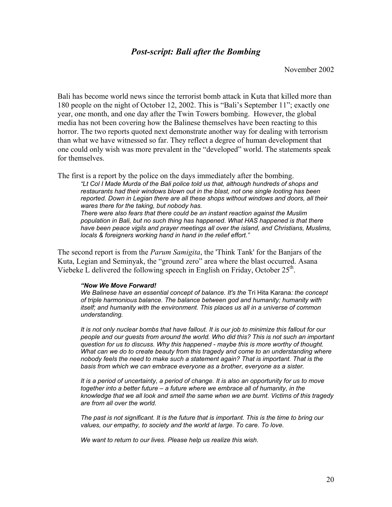#### *Post-script: Bali after the Bombing*

November 2002

Bali has become world news since the terrorist bomb attack in Kuta that killed more than 180 people on the night of October 12, 2002. This is "Bali's September 11"; exactly one year, one month, and one day after the Twin Towers bombing. However, the global media has not been covering how the Balinese themselves have been reacting to this horror. The two reports quoted next demonstrate another way for dealing with terrorism than what we have witnessed so far. They reflect a degree of human development that one could only wish was more prevalent in the "developed" world. The statements speak for themselves.

The first is a report by the police on the days immediately after the bombing.

*"Lt Col I Made Murda of the Bali police told us that, although hundreds of shops and restaurants had their windows blown out in the blast, not one single looting has been reported. Down in Legian there are all these shops without windows and doors, all their wares there for the taking, but nobody has.* 

*There were also fears that there could be an instant reaction against the Muslim population in Bali, but no such thing has happened. What HAS happened is that there have been peace vigils and prayer meetings all over the island, and Christians, Muslims, locals & foreigners working hand in hand in the relief effort."*

The second report is from the *Parum Samigita*, the 'Think Tank' for the Banjars of the Kuta, Legian and Seminyak, the "ground zero" area where the blast occurred. Asana Viebeke L delivered the following speech in English on Friday, October  $25<sup>th</sup>$ .

#### *"Now We Move Forward!*

*We Balinese have an essential concept of balance. It's the* Tri Hita Karana*: the concept of triple harmonious balance. The balance between god and humanity; humanity with itself; and humanity with the environment. This places us all in a universe of common understanding.* 

*It is not only nuclear bombs that have fallout. It is our job to minimize this fallout for our people and our guests from around the world. Who did this? This is not such an important question for us to discuss. Why this happened - maybe this is more worthy of thought. What can we do to create beauty from this tragedy and come to an understanding where nobody feels the need to make such a statement again? That is important. That is the basis from which we can embrace everyone as a brother, everyone as a sister.* 

*It is a period of uncertainty, a period of change. It is also an opportunity for us to move together into a better future – a future where we embrace all of humanity, in the knowledge that we all look and smell the same when we are burnt. Victims of this tragedy are from all over the world.* 

*The past is not significant. It is the future that is important. This is the time to bring our*  values, our empathy, to society and the world at large. To care. To love.

*We want to return to our lives. Please help us realize this wish.*